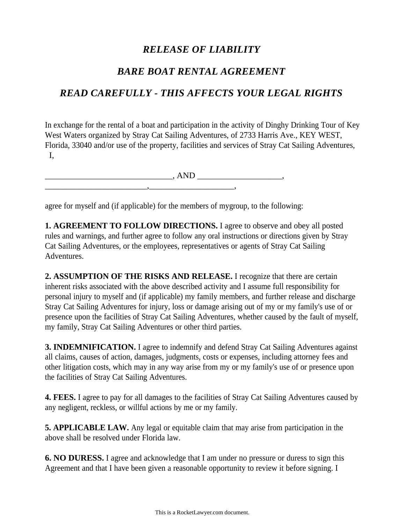## *RELEASE OF LIABILITY*

## *BARE BOAT RENTAL AGREEMENT*

## *READ CAREFULLY - THIS AFFECTS YOUR LEGAL RIGHTS*

In exchange for the rental of a boat and participation in the activity of Dinghy Drinking Tour of Key West Waters organized by Stray Cat Sailing Adventures, of 2733 Harris Ave., KEY WEST, Florida, 33040 and/or use of the property, facilities and services of Stray Cat Sailing Adventures, I,

\_\_\_\_\_\_\_\_\_\_\_\_\_\_\_\_\_\_\_\_\_\_\_\_\_\_\_\_\_\_, AND \_\_\_\_\_\_\_\_\_\_\_\_\_\_\_\_\_\_\_\_,

 $\blacksquare$ 

agree for myself and (if applicable) for the members of mygroup, to the following:

**1. AGREEMENT TO FOLLOW DIRECTIONS.** I agree to observe and obey all posted rules and warnings, and further agree to follow any oral instructions or directions given by Stray Cat Sailing Adventures, or the employees, representatives or agents of Stray Cat Sailing Adventures.

**2. ASSUMPTION OF THE RISKS AND RELEASE.** I recognize that there are certain inherent risks associated with the above described activity and I assume full responsibility for personal injury to myself and (if applicable) my family members, and further release and discharge Stray Cat Sailing Adventures for injury, loss or damage arising out of my or my family's use of or presence upon the facilities of Stray Cat Sailing Adventures, whether caused by the fault of myself, my family, Stray Cat Sailing Adventures or other third parties.

**3. INDEMNIFICATION.** I agree to indemnify and defend Stray Cat Sailing Adventures against all claims, causes of action, damages, judgments, costs or expenses, including attorney fees and other litigation costs, which may in any way arise from my or my family's use of or presence upon the facilities of Stray Cat Sailing Adventures.

**4. FEES.** I agree to pay for all damages to the facilities of Stray Cat Sailing Adventures caused by any negligent, reckless, or willful actions by me or my family.

**5. APPLICABLE LAW.** Any legal or equitable claim that may arise from participation in the above shall be resolved under Florida law.

**6. NO DURESS.** I agree and acknowledge that I am under no pressure or duress to sign this Agreement and that I have been given a reasonable opportunity to review it before signing. I